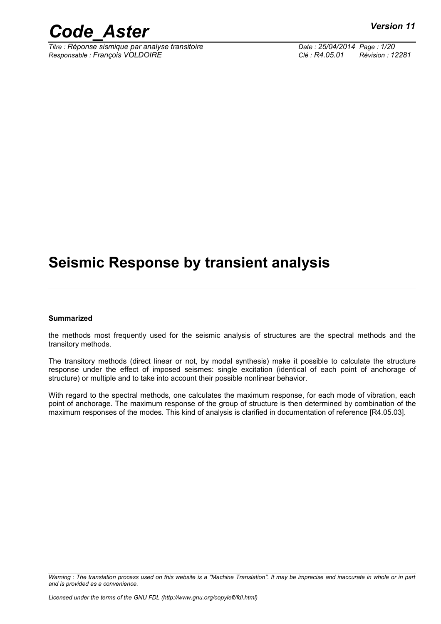*Titre : Réponse sismique par analyse transitoire Date : 25/04/2014 Page : 1/20 Responsable : François VOLDOIRE Clé : R4.05.01 Révision : 12281*

## **Seismic Response by transient analysis**

#### **Summarized**

the methods most frequently used for the seismic analysis of structures are the spectral methods and the transitory methods.

The transitory methods (direct linear or not, by modal synthesis) make it possible to calculate the structure response under the effect of imposed seismes: single excitation (identical of each point of anchorage of structure) or multiple and to take into account their possible nonlinear behavior.

With regard to the spectral methods, one calculates the maximum response, for each mode of vibration, each point of anchorage. The maximum response of the group of structure is then determined by combination of the maximum responses of the modes. This kind of analysis is clarified in documentation of reference [R4.05.03].

*Warning : The translation process used on this website is a "Machine Translation". It may be imprecise and inaccurate in whole or in part and is provided as a convenience.*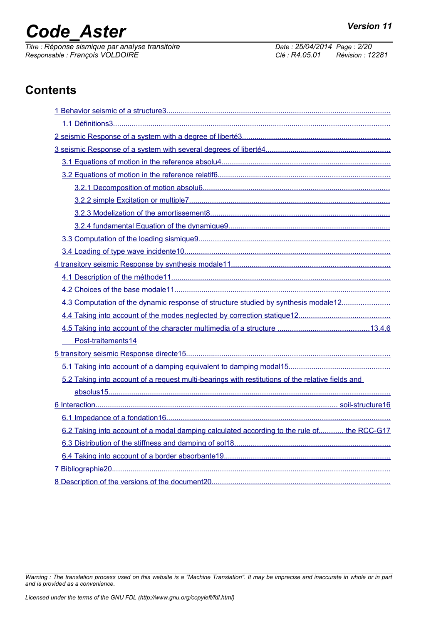*Titre : Réponse sismique par analyse transitoire Date : 25/04/2014 Page : 2/20 Responsable : François VOLDOIRE Clé : R4.05.01 Révision : 12281*

## **Contents**

| 4.3 Computation of the dynamic response of structure studied by synthesis modale12               |
|--------------------------------------------------------------------------------------------------|
|                                                                                                  |
|                                                                                                  |
| Post-traitements14                                                                               |
|                                                                                                  |
|                                                                                                  |
| 5.2 Taking into account of a request multi-bearings with restitutions of the relative fields and |
|                                                                                                  |
|                                                                                                  |
|                                                                                                  |
| 6.2 Taking into account of a modal damping calculated according to the rule of the RCC-G17       |
|                                                                                                  |
|                                                                                                  |
|                                                                                                  |
|                                                                                                  |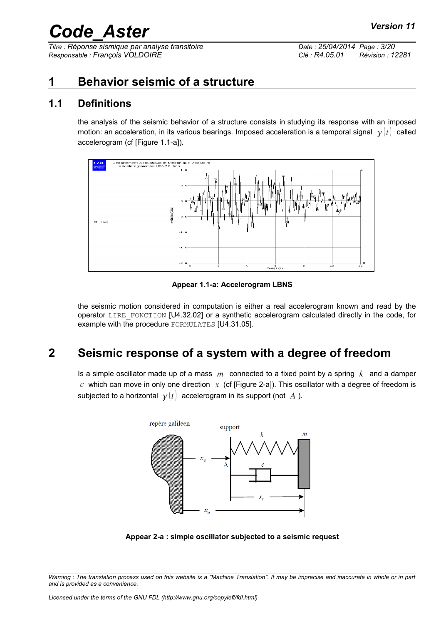*Titre : Réponse sismique par analyse transitoire Date : 25/04/2014 Page : 3/20 Responsable : François VOLDOIRE Clé : R4.05.01 Révision : 12281*

## <span id="page-2-0"></span>**1 Behavior seismic of a structure**

### **1.1 Definitions**

<span id="page-2-2"></span>the analysis of the seismic behavior of a structure consists in studying its response with an imposed motion: an acceleration, in its various bearings. Imposed acceleration is a temporal signal  $\chi(t)$  called accelerogram (cf [Figure 1.1-a]).



**Appear 1.1-a: Accelerogram LBNS**

the seismic motion considered in computation is either a real accelerogram known and read by the operator LIRE\_FONCTION [U4.32.02] or a synthetic accelerogram calculated directly in the code, for example with the procedure FORMULATES [U4.31.05].

## **2 Seismic response of a system with a degree of freedom**

<span id="page-2-1"></span>Is a simple oscillator made up of a mass *m* connected to a fixed point by a spring *k* and a damper  $c$  which can move in only one direction  $x$  (cf [Figure 2-a]). This oscillator with a degree of freedom is subjected to a horizontal  $y(t)$  accelerogram in its support (not A).



**Appear 2-a : simple oscillator subjected to a seismic request**

*Warning : The translation process used on this website is a "Machine Translation". It may be imprecise and inaccurate in whole or in part and is provided as a convenience.*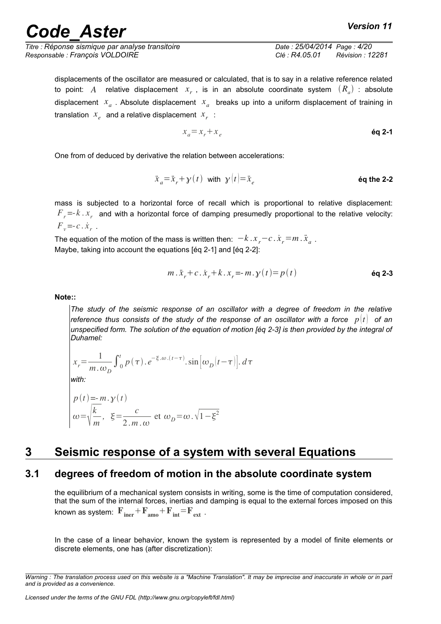*Titre : Réponse sismique par analyse transitoire Date : 25/04/2014 Page : 4/20 Responsable : François VOLDOIRE Clé : R4.05.01 Révision : 12281*

displacements of the oscillator are measured or calculated, that is to say in a relative reference related to point:  $A$  relative displacement  $x_r$  , is in an absolute coordinate system  $(R_a)$  : absolute displacement *x<sup>a</sup>* . Absolute displacement *x<sup>a</sup>* breaks up into a uniform displacement of training in translation  $x_e$  and a relative displacement  $x_r$ :

$$
x_a = x_r + x_e \qquad \qquad \text{Eq 2-1}
$$

One from of deduced by derivative the relation between accelerations:

$$
\ddot{x}_a = \ddot{x}_r + y(t) \quad \text{with} \quad y(t) = \ddot{x}_e \tag{6q the 2-2}
$$

mass is subjected to a horizontal force of recall which is proportional to relative displacement:  $F$ <sub>r</sub> =- $k$  .  $x$ <sub>r</sub> and with a horizontal force of damping presumedly proportional to the relative velocity:  $F_v = -c \cdot \dot{x}_r$ .

The equation of the motion of the mass is written then:  $-k \, . \, x_{_r}\! -\! c \, . \, \dot{x}_{_r}\! =\! m \, . \, \ddot{x}_{_a}$  . Maybe, taking into account the equations [éq 2-1] and [éq 2-2]:

$$
m \cdot \ddot{x}_r + c \cdot \dot{x}_r + k \cdot x_r = -m \cdot \gamma(t) = p(t)
$$

**Note::**

*The study of the seismic response of an oscillator with a degree of freedom in the relative reference thus consists of the study of the response of an oscillator with a force*  $p(t)$  *of an unspecified form. The solution of the equation of motion [éq 2-3] is then provided by the integral of Duhamel:* 

$$
x_r = \frac{1}{m \cdot \omega_D} \int_0^t p(\tau) \cdot e^{-\xi \cdot \omega \cdot (t - \tau)} \cdot \sin \left[\omega_D |t - \tau|\right] \cdot d\tau
$$
  
with:

$$
p(t) = -m \cdot y(t)
$$
  

$$
\omega = \sqrt{\frac{k}{m}}, \quad \xi = \frac{c}{2 \cdot m \cdot \omega} \text{ et } \omega_D = \omega \cdot \sqrt{1 - \xi^2}
$$

## <span id="page-3-1"></span>**3 Seismic response of a system with several Equations**

## **3.1 degrees of freedom of motion in the absolute coordinate system**

<span id="page-3-0"></span>the equilibrium of a mechanical system consists in writing, some is the time of computation considered, that the sum of the internal forces, inertias and damping is equal to the external forces imposed on this known as system:  $\mathbf{F}_{\text{iner}}+\mathbf{F}_{\text{amp}}+\mathbf{F}_{\text{int}}=\mathbf{F}_{\text{ext}}$ .

In the case of a linear behavior, known the system is represented by a model of finite elements or discrete elements, one has (after discretization):

*Warning : The translation process used on this website is a "Machine Translation". It may be imprecise and inaccurate in whole or in part and is provided as a convenience.*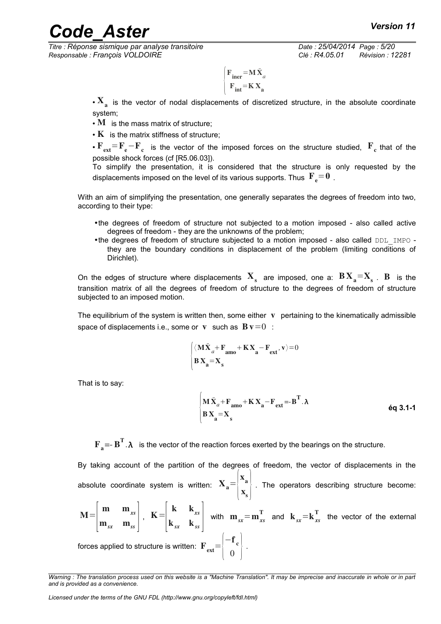*Titre : Réponse sismique par analyse transitoire Date : 25/04/2014 Page : 5/20 Responsable : François VOLDOIRE Clé : R4.05.01 Révision : 12281*

$$
\begin{cases}\n\mathbf{F}_{\text{iner}} = \mathbf{M}\ddot{\mathbf{X}}_{a} \\
\mathbf{F}_{\text{int}} = \mathbf{K}\mathbf{X}_{a}\n\end{cases}
$$

 $\cdot$   $\mathbf{X}_{_{\mathbf{a}}}$  is the vector of nodal displacements of discretized structure, in the absolute coordinate system;

- $\cdot$  M is the mass matrix of structure;
- $\cdot$  K is the matrix stiffness of structure:

 $\cdot$   $\rm F_{ext}$ = $\rm F_e$   $\rm -F_c$  is the vector of the imposed forces on the structure studied,  $\rm \ IF_c$  that of the possible shock forces (cf [R5.06.03]).

To simplify the presentation, it is considered that the structure is only requested by the displacements imposed on the level of its various supports. Thus  $\mathbf{F}_{e}$  = 0.

With an aim of simplifying the presentation, one generally separates the degrees of freedom into two, according to their type:

- •the degrees of freedom of structure not subjected to a motion imposed also called active degrees of freedom - they are the unknowns of the problem;
- •the degrees of freedom of structure subjected to a motion imposed also called DDL\_IMPO they are the boundary conditions in displacement of the problem (limiting conditions of Dirichlet).

On the edges of structure where displacements  $\bf{X}_{s}$  are imposed, one a:  $\bf{B} \bf{X}_{a} = \bf{X}_{s}$ .  $\bf{B}$  is the transition matrix of all the degrees of freedom of structure to the degrees of freedom of structure subjected to an imposed motion.

The equilibrium of the system is written then, some either  $\bf{v}$  pertaining to the kinematically admissible space of displacements i.e., some or v such as  $Bv=0$ :

$$
\begin{cases} \langle \mathbf{M}\ddot{\mathbf{X}}_a + \mathbf{F}_{\mathbf{a}\mathbf{m}\mathbf{o}} + \mathbf{K}\mathbf{X}_{\mathbf{a}} - \mathbf{F}_{\mathbf{ext}}, \mathbf{v} \rangle = 0 \\ \mathbf{B}\mathbf{X}_{\mathbf{a}} = \mathbf{X}_{\mathbf{s}} \end{cases}
$$

That is to say:

$$
\begin{cases}\n\mathbf{M}\ddot{\mathbf{X}}_{a} + \mathbf{F}_{\mathbf{a}\mathbf{m}\mathbf{o}} + \mathbf{K}\mathbf{X}_{\mathbf{a}} - \mathbf{F}_{\mathbf{ext}} = -\mathbf{B}^{\mathrm{T}}.\lambda \\
\mathbf{B}\mathbf{X}_{\mathbf{a}} = \mathbf{X}_{\mathbf{s}}\n\end{cases}
$$

 $\mathbf{F}_a = - \mathbf{B}^T \cdot \lambda$  is the vector of the reaction forces exerted by the bearings on the structure.

By taking account of the partition of the degrees of freedom, the vector of displacements in the absolute coordinate system is written:  $X_a = \begin{bmatrix} a & b \\ c & d \end{bmatrix}$ x<sub>a</sub>  $\mathbf{x}_{s}^*$  . The operators describing structure become:

 $M=$  $\vert$ n m m*xs*  $\mathbf{m}_{_{\mathit{S}\mathcal{X}}}$   $\mathbf{m}_{_{\mathit{S}\mathcal{S}}}$   $\vert$   $\vert$  $K =$  $\vert \mathbf{k}$ k k*xs*  $k_{sx}$   $k_{ss}$ with  $\mathbf{m}_{sx} = \mathbf{m}_{xs}^T$  and  $\mathbf{k}_{sx} = \mathbf{k}_{xs}^T$  the vector of the external forces applied to structure is written:  $\left. \mathbf{F}_{\text{ext}}\text{=} \right|_{0}$  $-f_c$  $\begin{matrix} 0 \\ 0 \end{matrix}$ .

*Warning : The translation process used on this website is a "Machine Translation". It may be imprecise and inaccurate in whole or in part and is provided as a convenience.*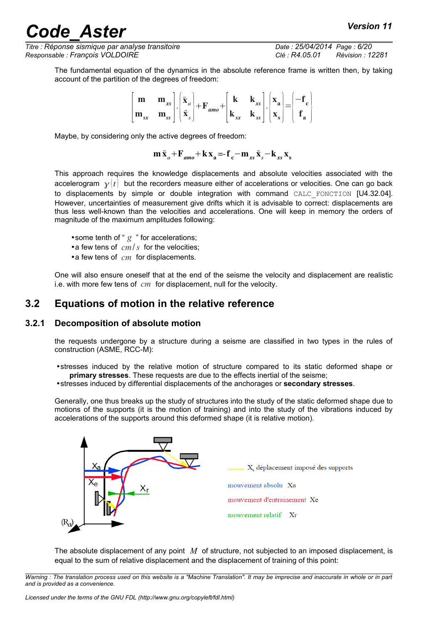*Titre : Réponse sismique par analyse transitoire Date : 25/04/2014 Page : 6/20 Responsable : François VOLDOIRE Clé : R4.05.01 Révision : 12281*

The fundamental equation of the dynamics in the absolute reference frame is written then, by taking account of the partition of the degrees of freedom:

$$
\begin{bmatrix} \mathbf{m} & \mathbf{m}_{xs} \\ \mathbf{m}_{sx} & \mathbf{m}_{ss} \end{bmatrix} \cdot \begin{bmatrix} \ddot{\mathbf{x}}_{a} \\ \ddot{\mathbf{x}}_{s} \end{bmatrix} + \mathbf{F}_{amo} + \begin{bmatrix} \mathbf{k} & \mathbf{k}_{xs} \\ \mathbf{k}_{sx} & \mathbf{k}_{ss} \end{bmatrix} \cdot \begin{bmatrix} \mathbf{x}_{a} \\ \mathbf{x}_{s} \end{bmatrix} = \begin{bmatrix} -\mathbf{f}_{c} \\ \mathbf{f}_{a} \end{bmatrix}
$$

Maybe, by considering only the active degrees of freedom:

 $m \ddot{x}_{a} + F_{amo} + k x_{a} = -f_{c} - m_{xs} \ddot{x}_{s} - k_{xs} x_{s}$ 

This approach requires the knowledge displacements and absolute velocities associated with the accelerogram  $y(t)$  but the recorders measure either of accelerations or velocities. One can go back to displacements by simple or double integration with command CALC\_FONCTION [U4.32.04]. However, uncertainties of measurement give drifts which it is advisable to correct: displacements are thus less well-known than the velocities and accelerations. One will keep in memory the orders of magnitude of the maximum amplitudes following:

- some tenth of "  $g$  " for accelerations;
- •a few tens of *cm*/*s* for the velocities;
- •a few tens of *cm* for displacements.

<span id="page-5-1"></span>One will also ensure oneself that at the end of the seisme the velocity and displacement are realistic i.e. with more few tens of *cm* for displacement, null for the velocity.

#### **3.2 Equations of motion in the relative reference**

#### **3.2.1 Decomposition of absolute motion**

<span id="page-5-0"></span>the requests undergone by a structure during a seisme are classified in two types in the rules of construction (ASME, RCC-M):

•stresses induced by the relative motion of structure compared to its static deformed shape or **primary stresses**. These requests are due to the effects inertial of the seisme;

•stresses induced by differential displacements of the anchorages or **secondary stresses**.

Generally, one thus breaks up the study of structures into the study of the static deformed shape due to motions of the supports (it is the motion of training) and into the study of the vibrations induced by accelerations of the supports around this deformed shape (it is relative motion).



The absolute displacement of any point *M* of structure, not subjected to an imposed displacement, is equal to the sum of relative displacement and the displacement of training of this point: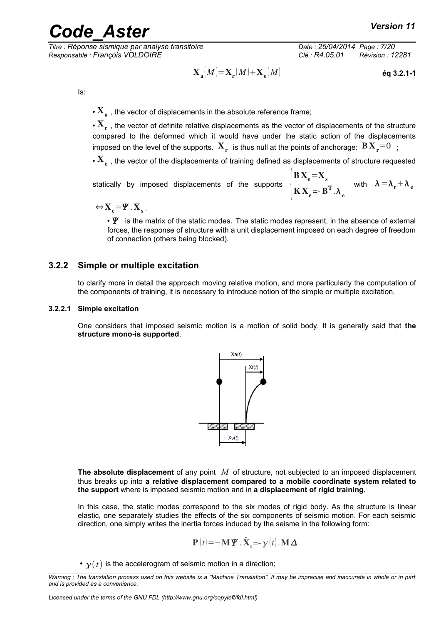*Titre : Réponse sismique par analyse transitoire Date : 25/04/2014 Page : 7/20 Responsable : François VOLDOIRE Clé : R4.05.01 Révision : 12281*

$$
\mathbf{X}_{\mathbf{a}}(M) = \mathbf{X}_{\mathbf{r}}(M) + \mathbf{X}_{\mathbf{e}}(M)
$$
éq 3.2.1-1

Is:

 $\overline{\mathbf{X}}_{\mathbf{a}}$  , the vector of displacements in the absolute reference frame;

 $\bm{\cdot} \, \mathbf{X}_\mathrm{r}$  , the vector of definite relative displacements as the vector of displacements of the structure compared to the deformed which it would have under the static action of the displacements imposed on the level of the supports.  $\mathbf{X}_{_{\mathbf{r}}}$  is thus null at the points of anchorage:  $\mathbf{B} \mathbf{X}_{_{\mathbf{r}}}{=}0\;$  ;

 $\bm{\cdot} \, \textbf{X}_{_{\textbf{e}}}$  , the vector of the displacements of training defined as displacements of structure requested

statically by imposed displacements of the supports

$$
\mathbf{B} \mathbf{X}_{e} = \mathbf{X}_{s}
$$
  

$$
\mathbf{K} \mathbf{X}_{e} = -\mathbf{B}^{T} \cdot \lambda_{e}
$$
 with  $\lambda = \lambda_{r} + \lambda_{e}$ 

 $\Leftrightarrow$   $X_e = \Psi$  .  $X_s$ .

 $\cdot$   $\mathbf{Y}$  is the matrix of the static modes. The static modes represent, in the absence of external forces, the response of structure with a unit displacement imposed on each degree of freedom of connection (others being blocked).

#### **3.2.2 Simple or multiple excitation**

<span id="page-6-0"></span>to clarify more in detail the approach moving relative motion, and more particularly the computation of the components of training, it is necessary to introduce notion of the simple or multiple excitation.

#### **3.2.2.1 Simple excitation**

One considers that imposed seismic motion is a motion of solid body. It is generally said that **the structure mono-is supported**.



**The absolute displacement** of any point *M* of structure, not subjected to an imposed displacement thus breaks up into **a relative displacement compared to a mobile coordinate system related to the support** where is imposed seismic motion and in **a displacement of rigid training**.

In this case, the static modes correspond to the six modes of rigid body. As the structure is linear elastic, one separately studies the effects of the six components of seismic motion. For each seismic direction, one simply writes the inertia forces induced by the seisme in the following form:

$$
\mathbf{P}(t) = -\mathbf{M}\mathbf{\Psi} \cdot \ddot{\mathbf{X}}_s = -\mathbf{y}(t) \cdot \mathbf{M} \Delta
$$

•  $v(t)$  is the accelerogram of seismic motion in a direction;

*Warning : The translation process used on this website is a "Machine Translation". It may be imprecise and inaccurate in whole or in part and is provided as a convenience.*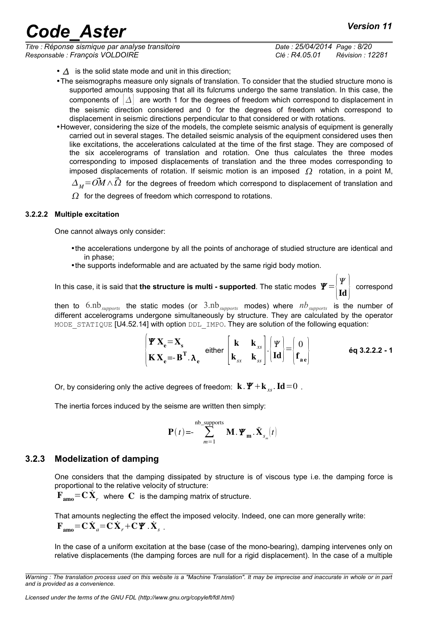*Titre : Réponse sismique par analyse transitoire Date : 25/04/2014 Page : 8/20 Responsable : François VOLDOIRE Clé : R4.05.01 Révision : 12281*

- $\bullet$   $\Delta$  is the solid state mode and unit in this direction;
- •The seismographs measure only signals of translation. To consider that the studied structure mono is supported amounts supposing that all its fulcrums undergo the same translation. In this case, the components of  $|\Delta|$  are worth 1 for the degrees of freedom which correspond to displacement in the seismic direction considered and 0 for the degrees of freedom which correspond to displacement in seismic directions perpendicular to that considered or with rotations.
- •However, considering the size of the models, the complete seismic analysis of equipment is generally carried out in several stages. The detailed seismic analysis of the equipment considered uses then like excitations, the accelerations calculated at the time of the first stage. They are composed of the six accelerograms of translation and rotation. One thus calculates the three modes corresponding to imposed displacements of translation and the three modes corresponding to imposed displacements of rotation. If seismic motion is an imposed  $\Omega$  rotation, in a point M,  $\Delta_M = \vec{OM} \wedge \vec{\Omega}$  for the degrees of freedom which correspond to displacement of translation and
	- $\Omega$  for the degrees of freedom which correspond to rotations.

#### **3.2.2.2 Multiple excitation**

One cannot always only consider:

- •the accelerations undergone by all the points of anchorage of studied structure are identical and in phase;
- •the supports indeformable and are actuated by the same rigid body motion.

In this case, it is said that **the structure is multi - supported**. The static modes  $\boldsymbol{\varPsi} \!=\! \begin{bmatrix} \boldsymbol{\varPsi} \ \boldsymbol{\varPi} \ \boldsymbol{\varPi} \end{bmatrix}$  $\overline{\text{Id}}$  correspond

then to  $6.nb_{\text{supports}}$  the static modes (or  $3.nb_{\text{supports}}$  modes) where  $nb_{\text{supports}}$  is the number of different accelerograms undergone simultaneously by structure. They are calculated by the operator MODE STATIQUE [U4.52.14] with option DDL IMPO. They are solution of the following equation:

$$
\begin{bmatrix} \mathbf{\Psi} \mathbf{X}_{e} = \mathbf{X}_{s} \\ \mathbf{K} \mathbf{X}_{e} = -\mathbf{B}^{T} \cdot \mathbf{\lambda}_{e} \end{bmatrix} \text{ either } \begin{bmatrix} \mathbf{k} & \mathbf{k}_{xs} \\ \mathbf{k}_{sx} & \mathbf{k}_{ss} \end{bmatrix} \cdot \begin{bmatrix} \mathbf{\Psi} \\ \mathbf{Id} \end{bmatrix} = \begin{bmatrix} 0 \\ \mathbf{f}_{ae} \end{bmatrix}
$$
 6q 3.2.2.2 - 1

Or, by considering only the active degrees of freedom:  $\mathbf{k} \cdot \mathbf{Y} + \mathbf{k}_{\text{xc}} \cdot \mathbf{Id} = 0$ .

The inertia forces induced by the seisme are written then simply:

$$
\mathbf{P}(t) = -\sum_{m=1}^{\text{nb\_supports}} \mathbf{M} \cdot \mathbf{\Psi}_{m} \cdot \ddot{\mathbf{X}}_{s_{m}}(t)
$$

#### **3.2.3 Modelization of damping**

<span id="page-7-0"></span>One considers that the damping dissipated by structure is of viscous type i.e. the damping force is proportional to the relative velocity of structure:

 $\mathbf{F}_{\mathbf{amo}} = \mathbf{C} \dot{\mathbf{X}}_r$  where  $\mathbf C$  is the damping matrix of structure.

That amounts neglecting the effect the imposed velocity. Indeed, one can more generally write:  $\mathbf{F}_{\text{amo}} = \mathbf{C} \dot{\mathbf{X}}_a = \mathbf{C} \dot{\mathbf{X}}_r + \mathbf{C} \mathbf{\Psi} . \dot{\mathbf{X}}_s$ .

In the case of a uniform excitation at the base (case of the mono-bearing), damping intervenes only on relative displacements (the damping forces are null for a rigid displacement). In the case of a multiple

*Warning : The translation process used on this website is a "Machine Translation". It may be imprecise and inaccurate in whole or in part and is provided as a convenience.*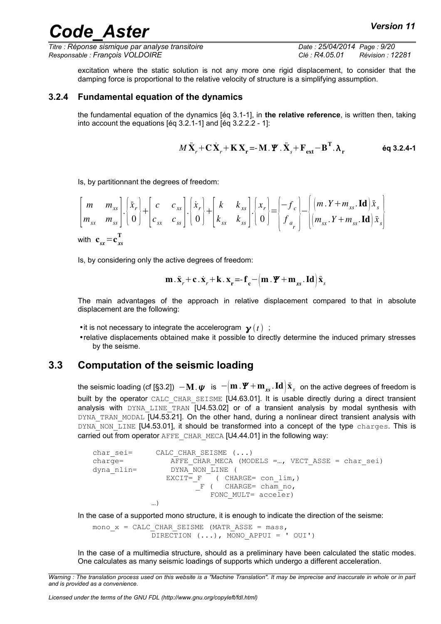*Titre : Réponse sismique par analyse transitoire Date : 25/04/2014 Page : 9/20 Responsable : François VOLDOIRE Clé : R4.05.01 Révision : 12281*

excitation where the static solution is not any more one rigid displacement, to consider that the damping force is proportional to the relative velocity of structure is a simplifying assumption.

#### **3.2.4 Fundamental equation of the dynamics**

<span id="page-8-1"></span>the fundamental equation of the dynamics [éq 3.1-1], in **the relative reference**, is written then, taking into account the equations [éq 3.2.1-1] and [éq 3.2.2.2 - 1]:

$$
M\ddot{\mathbf{X}}_r + \mathbf{C}\dot{\mathbf{X}}_r + \mathbf{K}\mathbf{X}_r = \mathbf{M}\cdot\mathbf{\Psi}\cdot\ddot{\mathbf{X}}_s + \mathbf{F}_{ext} - \mathbf{B}^{\mathrm{T}}\cdot\mathbf{\lambda}_r
$$

Is, by partitionnant the degrees of freedom:

$$
\begin{bmatrix} m & m_{xs} \\ m_{sx} & m_{ss} \end{bmatrix} \cdot \begin{bmatrix} \ddot{x}_r \\ \dot{0} \end{bmatrix} + \begin{bmatrix} c & c_{xs} \\ c_{sx} & c_{ss} \end{bmatrix} \cdot \begin{bmatrix} \dot{x}_r \\ \dot{0} \end{bmatrix} + \begin{bmatrix} k & k_{xs} \\ k_{sx} & k_{ss} \end{bmatrix} \cdot \begin{bmatrix} x_r \\ \dot{0} \end{bmatrix} = \begin{bmatrix} -f_c \\ f_a \\ f_a \end{bmatrix} - \begin{bmatrix} (m \cdot Y + m_{xs} \cdot \mathbf{Id}) \ddot{x}_s \\ (m_{sx} \cdot Y + m_{ss} \cdot \mathbf{Id}) \ddot{x}_s \end{bmatrix}
$$
  
with  $\mathbf{c}_{sx} = \mathbf{c}_{xs}^T$ 

Is, by considering only the active degrees of freedom:

$$
\mathbf{m} \cdot \ddot{\mathbf{x}}_r + \mathbf{c} \cdot \dot{\mathbf{x}}_r + \mathbf{k} \cdot \mathbf{x_r} = \mathbf{f}_c - \left( \mathbf{m} \cdot \mathbf{\Psi} + \mathbf{m}_{xs} \cdot \mathbf{Id} \right) \ddot{\mathbf{x}}_s
$$

The main advantages of the approach in relative displacement compared to that in absolute displacement are the following:

- •it is not necessary to integrate the accelerogram  $\mathbf{y}(t)$ ;
- •relative displacements obtained make it possible to directly determine the induced primary stresses by the seisme.

#### **3.3 Computation of the seismic loading**

<span id="page-8-0"></span>the seismic loading (cf [§3.2]) −M. is −m .m*xs* .Id x¨ *s* on the active degrees of freedom is built by the operator CALC\_CHAR\_SEISME [U4.63.01]. It is usable directly during a direct transient analysis with  $DYNA$  LINE TRAN  $[U4.53.02]$  or of a transient analysis by modal synthesis with DYNA TRAN MODAL  $\overline{[U4.53.21]}$ . On the other hand, during a nonlinear direct transient analysis with DYNA NON LINE [U4.53.01], it should be transformed into a concept of the type charges. This is carried out from operator AFFE\_CHAR\_MECA [U4.44.01] in the following way:

```
char sei= CALC CHAR SEISME (...)
charge= AFFE CHAR MECA (MODELS =..., VECT ASSE = char sei)
dyna nlin= DYNA_NON_LINE (
               EXCIT= F^{-} ( CHARGE= con lim, )
                      -<br>_F ( CHARGE= cham no,
                         FONC MULT= acceler)
            …)
```
In the case of a supported mono structure, it is enough to indicate the direction of the seisme:

mono  $x = CALC CHAR SEISME (MATR ASSE = mass,$ DIRECTION  $( \ldots )$ , MONO APPUI = ' OUI')

In the case of a multimedia structure, should as a preliminary have been calculated the static modes. One calculates as many seismic loadings of supports which undergo a different acceleration.

*Warning : The translation process used on this website is a "Machine Translation". It may be imprecise and inaccurate in whole or in part and is provided as a convenience.*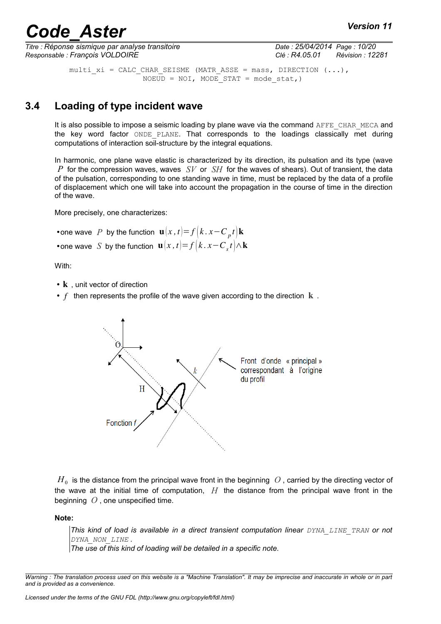*Titre : Réponse sismique par analyse transitoire Date : 25/04/2014 Page : 10/20 Responsable : François VOLDOIRE Clé : R4.05.01 Révision : 12281*

multi xi = CALC CHAR SEISME (MATR ASSE = mass, DIRECTION  $(...)$ ,  $NOEUD = NOI$ ,  $MODE STAT = mode stat$ ,)

### **3.4 Loading of type incident wave**

<span id="page-9-0"></span>It is also possible to impose a seismic loading by plane wave via the command AFFE\_CHAR\_MECA and the key word factor ONDE\_PLANE. That corresponds to the loadings classically met during computations of interaction soil-structure by the integral equations.

In harmonic, one plane wave elastic is characterized by its direction, its pulsation and its type (wave *P* for the compression waves, waves *SV* or *SH* for the waves of shears). Out of transient, the data of the pulsation, corresponding to one standing wave in time, must be replaced by the data of a profile of displacement which one will take into account the propagation in the course of time in the direction of the wave.

More precisely, one characterizes:

```
• one wave P by the function \mathbf{u}(x,t) = f(k \cdot x - C_p t) \mathbf{k}• one wave S by the function \mathbf{u}(x,t) = f(k \cdot x - C_s t) \wedge \mathbf{k}
```
With:

- $k$ , unit vector of direction
- $f$  then represents the profile of the wave given according to the direction  $k$ .



 $H^{\pm}_0$  is the distance from the principal wave front in the beginning  $|O$  , carried by the directing vector of the wave at the initial time of computation, *H* the distance from the principal wave front in the beginning *O* , one unspecified time.

**Note:**

*This kind of load is available in a direct transient computation linear DYNA\_LINE\_TRAN or not DYNA\_NON\_LINE .*

*The use of this kind of loading will be detailed in a specific note.*

*Warning : The translation process used on this website is a "Machine Translation". It may be imprecise and inaccurate in whole or in part and is provided as a convenience.*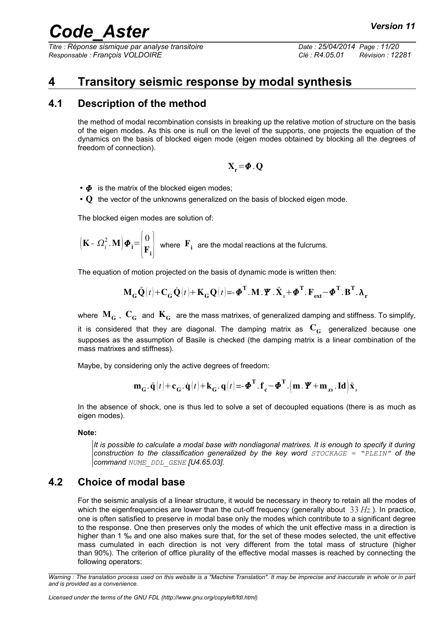*Titre : Réponse sismique par analyse transitoire Date : 25/04/2014 Page : 11/20 Responsable : François VOLDOIRE Clé : R4.05.01 Révision : 12281*

## <span id="page-10-2"></span>**4 Transitory seismic response by modal synthesis**

### **4.1 Description of the method**

<span id="page-10-1"></span>the method of modal recombination consists in breaking up the relative motion of structure on the basis of the eigen modes. As this one is null on the level of the supports, one projects the equation of the dynamics on the basis of blocked eigen mode (eigen modes obtained by blocking all the degrees of freedom of connection).

$$
X_r\!=\!\varPhi\,.\,Q
$$

 $\cdot \phi$  is the matrix of the blocked eigen modes;

• Q the vector of the unknowns generalized on the basis of blocked eigen mode.

The blocked eigen modes are solution of:

$$
\left(\mathbf{K} - \Omega_i^2 \cdot \mathbf{M}\right) \boldsymbol{\Phi}_i = \begin{pmatrix} 0 \\ \mathbf{F}_i \end{pmatrix}
$$
 where  $\mathbf{F}_i$  are the modal reactions at the fulcrums.

The equation of motion projected on the basis of dynamic mode is written then:

$$
\mathbf{M}_{_{\mathbf{G}}}\ddot{\mathbf{Q}}(t)+\mathbf{C}_{_{\mathbf{G}}}\dot{\mathbf{Q}}(t)+\mathbf{K}_{_{\mathbf{G}}}\mathbf{Q}(t)\mathbf{=}\mathbf{-\Phi}^{\mathbf{T}}.\mathbf{M}.\mathbf{\Psi}.\ddot{\mathbf{X}}_{_{\mathcal{S}}}+\mathbf{\Phi}^{\mathbf{T}}.\mathbf{F}_{_{\mathbf{ext}}}\mathbf{-\Phi}^{\mathbf{T}}.\mathbf{B}^{\mathbf{T}}.\mathbf{\lambda}_{_{\mathbf{r}}}
$$

where  $\mathbf{M}_{\mathbf{G}}$ ,  $\mathbf{C}_{\mathbf{G}}$  and  $\mathbf{K}_{\mathbf{G}}$  are the mass matrixes, of generalized damping and stiffness. To simplify, it is considered that they are diagonal. The damping matrix as  $\mathbf{C}_G$  generalized because one supposes as the assumption of Basile is checked (the damping matrix is a linear combination of the mass matrixes and stiffness).

Maybe, by considering only the active degrees of freedom:

$$
\mathbf{m}_{\mathbf{G}} \cdot \ddot{\mathbf{q}}(t) + \mathbf{c}_{\mathbf{G}} \cdot \dot{\mathbf{q}}(t) + \mathbf{k}_{\mathbf{G}} \cdot \mathbf{q}(t) = -\boldsymbol{\Phi}^{\mathbf{T}} \cdot \mathbf{f}_{\mathbf{c}} - \boldsymbol{\Phi}^{\mathbf{T}} \cdot (\mathbf{m} \cdot \boldsymbol{\varPsi} + \mathbf{m}_{\mathbf{x}\mathbf{s}} \cdot \mathbf{Id}) \ddot{\mathbf{x}}_{\mathbf{s}}
$$

In the absence of shock, one is thus led to solve a set of decoupled equations (there is as much as eigen modes).

#### **Note:**

*It is possible to calculate a modal base with nondiagonal matrixes. It is enough to specify it during construction to the classification generalized by the key word STOCKAGE = "PLEIN" of the command NUME\_DDL\_GENE [U4.65.03].*

### **4.2 Choice of modal base**

<span id="page-10-0"></span>For the seismic analysis of a linear structure, it would be necessary in theory to retain all the modes of which the eigenfrequencies are lower than the cut-off frequency (generally about 33 *Hz* ). In practice, one is often satisfied to preserve in modal base only the modes which contribute to a significant degree to the response. One then preserves only the modes of which the unit effective mass in a direction is higher than 1 ‰ and one also makes sure that, for the set of these modes selected, the unit effective mass cumulated in each direction is not very different from the total mass of structure (higher than 90%). The criterion of office plurality of the effective modal masses is reached by connecting the following operators:

*Warning : The translation process used on this website is a "Machine Translation". It may be imprecise and inaccurate in whole or in part and is provided as a convenience.*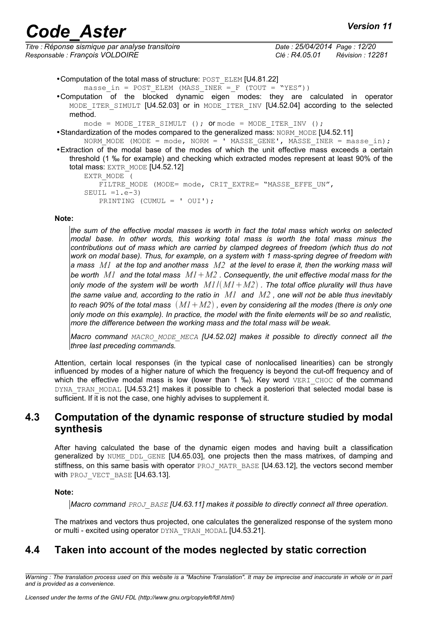|  | <b>Version 11</b> |  |
|--|-------------------|--|
|--|-------------------|--|

| Titre : Réponse sismique par analyse transitoire |
|--------------------------------------------------|
| Responsable : François VOLDOIRE                  |

*Titre : Réponse sismique par analyse transitoire Date : 25/04/2014 Page : 12/20 Responsable : François VOLDOIRE Clé : R4.05.01 Révision : 12281*

|  | • Computation of the total mass of structure: POST_ELEM [U4.81.22] |  |
|--|--------------------------------------------------------------------|--|
|--|--------------------------------------------------------------------|--|

- masse in = POST ELEM (MASS INER = F (TOUT = "YES"))
- •Computation of the blocked dynamic eigen modes: they are calculated in operator MODE ITER SIMULT [U4.52.03] or in MODE ITER INV [U4.52.04] according to the selected method.

mode = MODE ITER SIMULT (); or mode = MODE ITER INV ();

• Standardization of the modes compared to the generalized mass: NORM\_MODE [U4.52.11]

NORM MODE (MODE = mode, NORM = ' MASSE GENE', MASSE INER = masse in); •Extraction of the modal base of the modes of which the unit effective mass exceeds a certain threshold (1 ‰ for example) and checking which extracted modes represent at least 90% of the total mass: EXTR\_MODE [U4.52.12]

```
EXTR MODE<sup>-</sup>(
   FILTRE MODE (MODE= mode, CRIT EXTRE= "MASSE EFFE UN",
SEUIL =1.e-3)
   PRINTING (CUMUL = ' OUI');
```
#### **Note:**

*the sum of the effective modal masses is worth in fact the total mass which works on selected modal base. In other words, this working total mass is worth the total mass minus the contributions out of mass which are carried by clamped degrees of freedom (which thus do not work on modal base). Thus, for example, on a system with 1 mass-spring degree of freedom with a mass M1 at the top and another mass M2 at the level to erase it, then the working mass will be worth M1 and the total mass M1M2 . Consequently, the unit effective modal mass for the only mode of the system will be worth*  $M1/(M1+M2)$ *. The total office plurality will thus have the same value and, according to the ratio in M1 and M2 , one will not be able thus inevitably to reach 90% of the total mass M1M2 , even by considering all the modes (there is only one only mode on this example). In practice, the model with the finite elements will be so and realistic, more the difference between the working mass and the total mass will be weak.*

*Macro command MACRO\_MODE\_MECA [U4.52.02] makes it possible to directly connect all the three last preceding commands.*

Attention, certain local responses (in the typical case of nonlocalised linearities) can be strongly influenced by modes of a higher nature of which the frequency is beyond the cut-off frequency and of which the effective modal mass is low (lower than 1  $\%$ ). Key word VERI CHOC of the command DYNA TRAN MODAL [U4.53.21] makes it possible to check a posteriori that selected modal base is sufficient. If it is not the case, one highly advises to supplement it.

#### <span id="page-11-1"></span>**4.3 Computation of the dynamic response of structure studied by modal synthesis**

After having calculated the base of the dynamic eigen modes and having built a classification generalized by NUME DDL GENE [U4.65.03], one projects then the mass matrixes, of damping and stiffness, on this same basis with operator PROJ\_MATR\_BASE [U4.63.12], the vectors second member with PROJ VECT BASE [U4.63.13].

#### **Note:**

*Macro command PROJ\_BASE [U4.63.11] makes it possible to directly connect all three operation.*

<span id="page-11-0"></span>The matrixes and vectors thus projected, one calculates the generalized response of the system mono or multi - excited using operator DYNA\_TRAN\_MODAL [U4.53.21].

### **4.4 Taken into account of the modes neglected by static correction**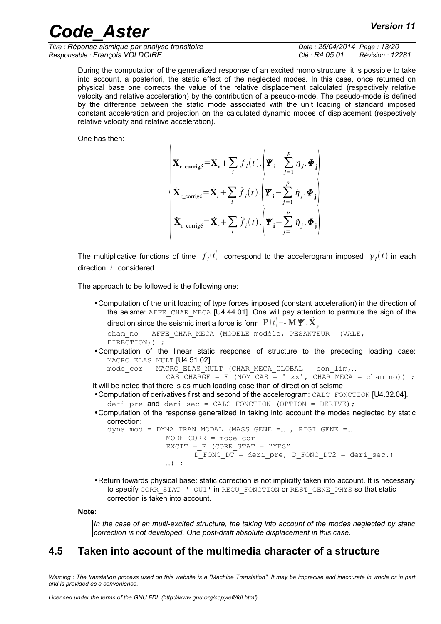*Titre : Réponse sismique par analyse transitoire Date : 25/04/2014 Page : 13/20 Responsable : François VOLDOIRE Clé : R4.05.01 Révision : 12281*

During the computation of the generalized response of an excited mono structure, it is possible to take into account, a posteriori, the static effect of the neglected modes. In this case, once returned on physical base one corrects the value of the relative displacement calculated (respectively relative velocity and relative acceleration) by the contribution of a pseudo-mode. The pseudo-mode is defined by the difference between the static mode associated with the unit loading of standard imposed constant acceleration and projection on the calculated dynamic modes of displacement (respectively relative velocity and relative acceleration).

One has then:

$$
\begin{pmatrix}\n\mathbf{X}_{\mathbf{r\_corrig\acute{e}}} = \mathbf{X}_{\mathbf{r}} + \sum_{i} f_{i}(t) \cdot \left( \mathbf{\Psi}_{\mathbf{i}} - \sum_{j=1}^{p} \boldsymbol{\eta}_{j} \cdot \mathbf{\Phi}_{\mathbf{j}} \right) \\
\mathbf{\dot{X}}_{\mathbf{r\_corrig\acute{e}}} = \mathbf{\dot{X}}_{r} + \sum_{i} \dot{f}_{i}(t) \cdot \left( \mathbf{\Psi}_{\mathbf{i}} - \sum_{j=1}^{p} \dot{\boldsymbol{\eta}}_{j} \cdot \mathbf{\Phi}_{\mathbf{j}} \right) \\
\mathbf{\ddot{X}}_{\mathbf{r\_corrig\acute{e}}} = \mathbf{\ddot{X}}_{r} + \sum_{i} \ddot{f}_{i}(t) \cdot \left( \mathbf{\Psi}_{\mathbf{i}} - \sum_{j=1}^{p} \ddot{\boldsymbol{\eta}}_{j} \cdot \mathbf{\Phi}_{\mathbf{j}} \right)\n\end{pmatrix}
$$

The multiplicative functions of time  $f_i(t)$  correspond to the accelerogram imposed  $\gamma_i(t)$  in each direction *i* considered.

The approach to be followed is the following one:

 $\lambda$ 

```
•Computation of the unit loading of type forces imposed (constant acceleration) in the direction of
    the seisme: AFFE_CHAR_MECA [U4.44.01]. One will pay attention to permute the sign of the
    direction since the seismic inertia force is form \left. {\bf P}\left( t \right) = - {\bf M}\, {\bf \cal W} . \ddot{\bf X}_scham_no = AFFE_CHAR_MECA (MODELE=modèle, PESANTEUR= (VALE,
    DIRECTION)) ;
•Computation of the linear static response of structure to the preceding loading case:
    MACRO ELAS MULT [U4.51.02].
    mode \overline{cor} = MACRO ELAS MULT (CHAR MECA GLOBAL = con_lim,...
                     \overline{CAS} CHARGE = F (NOM CAS = ' xx', CHAR MECA = cham no)) ;
It will be noted that there is as much loading case than of direction of seisme
•Computation of derivatives first and second of the accelerogram: CALC_FONCTION [U4.32.04].
    deri pre and deri sec = CALC FONCTION (OPTION = DERIVE);
•Computation of the response generalized in taking into account the modes neglected by static
    correction:
    dyna mod = DYNA TRAN MODAL (MASS GENE =..., RIGI GENE =...
                     MODE CORR = mode cor
                     EXCIT = F (CORR \ \overline{STAT} = "YES" D_FONC_DT = deri_pre, D_FONC_DT2 = deri_sec.)
                     \ldots) ;
```
•Return towards physical base: static correction is not implicitly taken into account. It is necessary to specify CORR\_STAT=' OUI' in RECU\_FONCTION or REST\_GENE\_PHYS so that static correction is taken into account.

#### **Note:**

<span id="page-12-0"></span>*In the case of an multi-excited structure, the taking into account of the modes neglected by static correction is not developed. One post-draft absolute displacement in this case.*

### **4.5 Taken into account of the multimedia character of a structure**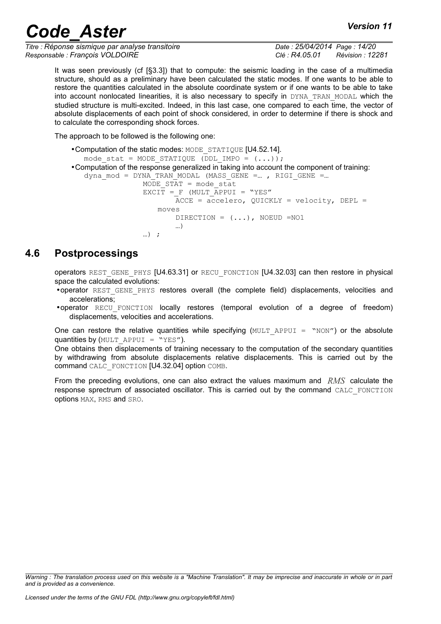*Titre : Réponse sismique par analyse transitoire Date : 25/04/2014 Page : 14/20 Responsable : François VOLDOIRE Clé : R4.05.01 Révision : 12281*

It was seen previously (cf [§3.3]) that to compute: the seismic loading in the case of a multimedia structure, should as a preliminary have been calculated the static modes. If one wants to be able to restore the quantities calculated in the absolute coordinate system or if one wants to be able to take into account nonlocated linearities, it is also necessary to specify in DYNA\_TRAN\_MODAL which the studied structure is multi-excited. Indeed, in this last case, one compared to each time, the vector of absolute displacements of each point of shock considered, in order to determine if there is shock and to calculate the corresponding shock forces.

The approach to be followed is the following one:

```
•Computation of the static modes: MODE_STATIQUE [U4.52.14].
   mode stat = MODE STATIQUE (DDL IMPO = ( \ldots));
•Computation of the response generalized in taking into account the component of training:
   dyna mod = DYNA TRAN MODAL (MASS GENE =..., RIGI GENE =...
                    MODE STAT = mode stat
                    EXCIT = F (MULT APPUI = "YES"
                             \overline{ACCE} = \overline{accelero}, QUICKLY = \overline{velocity}, DEPL =
                        m \cap T \cap SDIRECTION = ( \ldots ), NOEUD =NO1
                              …)
                    \ldots) ;
```
### **4.6 Postprocessings**

<span id="page-13-0"></span>operators REST\_GENE\_PHYS [U4.63.31] or RECU\_FONCTION [U4.32.03] can then restore in physical space the calculated evolutions:

- •operator REST\_GENE\_PHYS restores overall (the complete field) displacements, velocities and accelerations;
- •operator RECU\_FONCTION locally restores (temporal evolution of a degree of freedom) displacements, velocities and accelerations.

One can restore the relative quantities while specifying  $(MULT APPUT = "NON")$  or the absolute quantities by (MULT APPUI = "YES").

One obtains then displacements of training necessary to the computation of the secondary quantities by withdrawing from absolute displacements relative displacements. This is carried out by the command CALC\_FONCTION [U4.32.04] option COMB.

From the preceding evolutions, one can also extract the values maximum and *RMS* calculate the response sprectrum of associated oscillator. This is carried out by the command CALC\_FONCTION options MAX, RMS and SRO.

*Warning : The translation process used on this website is a "Machine Translation". It may be imprecise and inaccurate in whole or in part and is provided as a convenience.*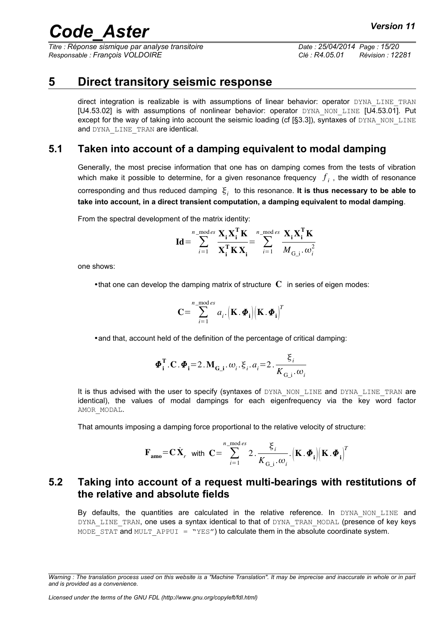*Titre : Réponse sismique par analyse transitoire Date : 25/04/2014 Page : 15/20 Responsable : François VOLDOIRE Clé : R4.05.01 Révision : 12281*

## **5 Direct transitory seismic response**

<span id="page-14-2"></span>direct integration is realizable is with assumptions of linear behavior: operator DYNA LINE TRAN [U4.53.02] is with assumptions of nonlinear behavior: operator DYNA\_NON\_LINE [U4.53.01]. Put except for the way of taking into account the seismic loading (cf  $[§3.3]$ ), syntaxes of DYNA\_NON\_LINE and DYNA LINE TRAN are identical.

### **5.1 Taken into account of a damping equivalent to modal damping**

<span id="page-14-1"></span>Generally, the most precise information that one has on damping comes from the tests of vibration which make it possible to determine, for a given resonance frequency  $\,f_{\,i}\,$  , the width of resonance corresponding and thus reduced damping  $\vert \xi_i \vert$  to this resonance. **It is thus necessary to be able to take into account, in a direct transient computation, a damping equivalent to modal damping**.

From the spectral development of the matrix identity:

$$
\mathbf{Id} = \sum_{i=1}^{n_{\text{ 1}} \text{ mod } es} \frac{\mathbf{X}_{i} \mathbf{X}_{i}^{\mathbf{T}} \mathbf{K}}{\mathbf{X}_{i}^{\mathbf{T}} \mathbf{K} \mathbf{X}_{i}} = \sum_{i=1}^{n_{\text{ 1}} \text{ mod } es} \frac{\mathbf{X}_{i} \mathbf{X}_{i}^{\mathbf{T}} \mathbf{K}}{M_{\mathbf{G}_{\perp}i} \boldsymbol{\omega}_{i}^{2}}
$$

one shows:

•that one can develop the damping matrix of structure  $\mathbf C$  in series of eigen modes:

$$
\mathbf{C} = \sum_{i=1}^{n_{\text{-mod } es}} a_{i} \cdot (\mathbf{K} \cdot \boldsymbol{\Phi}_{i}) (\mathbf{K} \cdot \boldsymbol{\Phi}_{i})^{T}
$$

•and that, account held of the definition of the percentage of critical damping:

$$
\boldsymbol{\Phi}_{\mathbf{i}}^{\mathbf{T}}.\mathbf{C}.\boldsymbol{\Phi}_{\mathbf{i}}=2.\mathbf{M}_{\mathbf{G}\_{mathbf{i}}}. \boldsymbol{\omega}_{i}.\boldsymbol{\xi}_{i}. a_{i}=2.\frac{\boldsymbol{\xi}_{i}}{K_{\mathbf{G}\_{mathbf{i}}}. \boldsymbol{\omega}_{i}}
$$

It is thus advised with the user to specify (syntaxes of DYNA NON LINE and DYNA LINE TRAN are identical), the values of modal dampings for each eigenfrequency via the key word factor AMOR\_MODAL.

That amounts imposing a damping force proportional to the relative velocity of structure:

$$
\mathbf{F}_{\mathbf{amo}} = \mathbf{C} \dot{\mathbf{X}}_r \quad \text{with} \quad \mathbf{C} = \sum_{i=1}^{n_{\text{ \_ mode } ss} 2 \cdot \frac{\xi_i}{K_{\mathbf{G_i}} \cdot \omega_i} \cdot \left(\mathbf{K} \cdot \boldsymbol{\Phi}_i\right) \left(\mathbf{K} \cdot \boldsymbol{\Phi}_i\right)^T
$$

### <span id="page-14-0"></span>**5.2 Taking into account of a request multi-bearings with restitutions of the relative and absolute fields**

By defaults, the quantities are calculated in the relative reference. In DYNA NON LINE and DYNA LINE TRAN, one uses a syntax identical to that of DYNA TRAN MODAL (presence of key keys MODE STAT and MULT APPUI = "YES") to calculate them in the absolute coordinate system.

*Warning : The translation process used on this website is a "Machine Translation". It may be imprecise and inaccurate in whole or in part and is provided as a convenience.*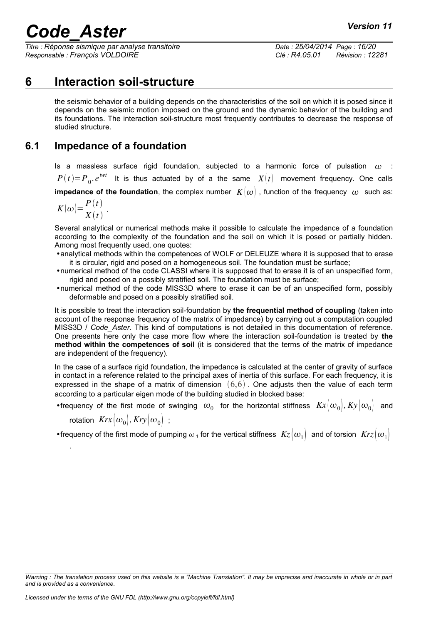*Titre : Réponse sismique par analyse transitoire Date : 25/04/2014 Page : 16/20 Responsable : François VOLDOIRE Clé : R4.05.01 Révision : 12281*

## **6 Interaction soil-structure**

<span id="page-15-1"></span>the seismic behavior of a building depends on the characteristics of the soil on which it is posed since it depends on the seismic motion imposed on the ground and the dynamic behavior of the building and its foundations. The interaction soil-structure most frequently contributes to decrease the response of studied structure.

### **6.1 Impedance of a foundation**

<span id="page-15-0"></span>Is a massless surface rigid foundation, subjected to a harmonic force of pulsation  $\omega$  :  $P(t)$ = $P_{0}$ . $e^{iwt}$  It is thus actuated by of a the same  $X(t)$  movement frequency. One calls **impedance of the foundation**, the complex number  $K(\omega)$ , function of the frequency  $\omega$  such as:

$$
K(\omega) = \frac{P(t)}{X(t)}.
$$

Several analytical or numerical methods make it possible to calculate the impedance of a foundation according to the complexity of the foundation and the soil on which it is posed or partially hidden. Among most frequently used, one quotes:

- •analytical methods within the competences of WOLF or DELEUZE where it is supposed that to erase it is circular, rigid and posed on a homogeneous soil. The foundation must be surface;
- •numerical method of the code CLASSI where it is supposed that to erase it is of an unspecified form, rigid and posed on a possibly stratified soil. The foundation must be surface;
- •numerical method of the code MISS3D where to erase it can be of an unspecified form, possibly deformable and posed on a possibly stratified soil.

It is possible to treat the interaction soil-foundation by **the frequential method of coupling** (taken into account of the response frequency of the matrix of impedance) by carrying out a computation coupled MISS3D / Code Aster. This kind of computations is not detailed in this documentation of reference. One presents here only the case more flow where the interaction soil-foundation is treated by **the method within the competences of soil** (it is considered that the terms of the matrix of impedance are independent of the frequency).

In the case of a surface rigid foundation, the impedance is calculated at the center of gravity of surface in contact in a reference related to the principal axes of inertia of this surface. For each frequency, it is expressed in the shape of a matrix of dimension  $(6,6)$ . One adjusts then the value of each term according to a particular eigen mode of the building studied in blocked base:

•frequency of the first mode of swinging  $\omega_0$  for the horizontal stiffness  $Kx[\omega_0], Ky[\omega_0]$  and

rotation  $Krx(\omega_0)$ ,  $Kry(\omega_0)$ ;

.

•frequency of the first mode of pumping  $\omega_1$  for the vertical stiffness  $Kz\big(\omega_1\big)$  and of torsion  $Krz\big(\omega_1\big)$ 

*Warning : The translation process used on this website is a "Machine Translation". It may be imprecise and inaccurate in whole or in part and is provided as a convenience.*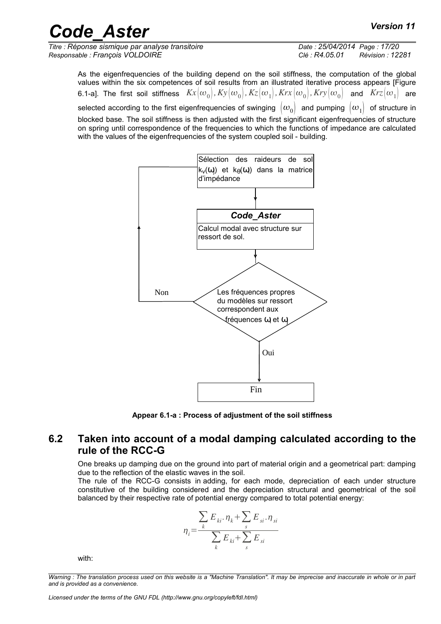*Titre : Réponse sismique par analyse transitoire Date : 25/04/2014 Page : 17/20 Responsable : François VOLDOIRE Clé : R4.05.01 Révision : 12281*

As the eigenfrequencies of the building depend on the soil stiffness, the computation of the global values within the six competences of soil results from an illustrated iterative process appears [Figure 6.1-a]. The first soil stiffness  $Kx(\omega_0)$ ,  $Ky(\omega_0)$ ,  $Kz(\omega_1)$ ,  $Krx(\omega_0)$ ,  $Kry(\omega_0)$  and  $Krz(\omega_1)$  are selected according to the first eigenfrequencies of swinging  $\langle \omega_0 \rangle$  and pumping  $\langle \omega_1 \rangle$  of structure in blocked base. The soil stiffness is then adjusted with the first significant eigenfrequencies of structure on spring until correspondence of the frequencies to which the functions of impedance are calculated with the values of the eigenfrequencies of the system coupled soil - building.



**Appear 6.1-a : Process of adjustment of the soil stiffness**

#### **6.2 Taken into account of a modal damping calculated according to the rule of the RCC-G**

<span id="page-16-0"></span>One breaks up damping due on the ground into part of material origin and a geometrical part: damping due to the reflection of the elastic waves in the soil.

The rule of the RCC-G consists in adding, for each mode, depreciation of each under structure constitutive of the building considered and the depreciation structural and geometrical of the soil balanced by their respective rate of potential energy compared to total potential energy:

$$
\eta_i = \frac{\sum_{k} E_{ki} \cdot \eta_k + \sum_{s} E_{si} \cdot \eta_{si}}{\sum_{k} E_{ki} + \sum_{s} E_{si}}
$$

with:

*Warning : The translation process used on this website is a "Machine Translation". It may be imprecise and inaccurate in whole or in part and is provided as a convenience.*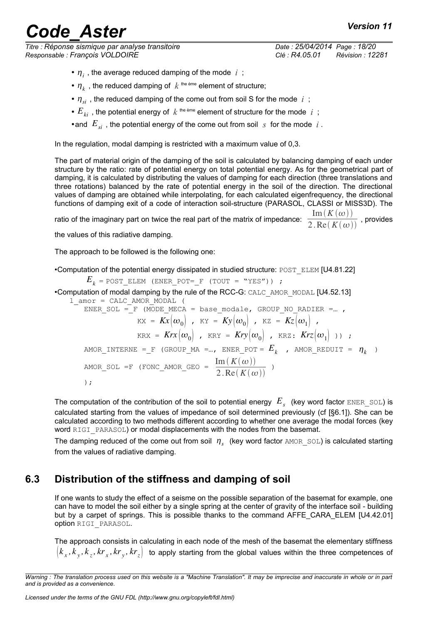*Titre : Réponse sismique par analyse transitoire Date : 25/04/2014 Page : 18/20 Responsable : François VOLDOIRE Clé : R4.05.01 Révision : 12281*

- $\eta_i$ , the average reduced damping of the mode  $i$ ;
- $n_k$ , the reduced damping of  $k$ <sup>the ème</sup> element of structure;
- $\eta_{si}$ , the reduced damping of the come out from soil S for the mode  $i$ ;
- $E_{ki}$  , the potential energy of  $k$  <sup>the ème</sup> element of structure for the mode  $i$ ;
- •and  $E_{si}$ , the potential energy of the come out from soil  $s$  for the mode  $i$ .

In the regulation, modal damping is restricted with a maximum value of 0,3.

The part of material origin of the damping of the soil is calculated by balancing damping of each under structure by the ratio: rate of potential energy on total potential energy. As for the geometrical part of damping, it is calculated by distributing the values of damping for each direction (three translations and three rotations) balanced by the rate of potential energy in the soil of the direction. The directional values of damping are obtained while interpolating, for each calculated eigenfrequency, the directional functions of damping exit of a code of interaction soil-structure (PARASOL, CLASSI or MISS3D). The ratio of the imaginary part on twice the real part of the matrix of impedance:  $\frac{\text{Im}(K(\omega))}{2.25\sqrt{K(\omega)}}$  $\frac{2 \cdot \text{Re}(K(\omega))}{2 \cdot \text{Re}(K(\omega))}$ , provides

the values of this radiative damping.

The approach to be followed is the following one:

•Computation of the potential energy dissipated in studied structure: POST\_ELEM [U4.81.22]

 $E_k$  = POST\_ELEM (ENER POT= F (TOUT = "YES")) ;

•Computation of modal damping by the rule of the RCC-G: CALC\_AMOR\_MODAL [U4.52.13]

l\_amor = CALC\_AMOR\_MODAL ( ENER\_SOL =  $F$  (MODE\_MECA = base\_modale, GROUP NO RADIER =...,  $KX = Kx(\omega_0)$ ,  $KY = Ky(\omega_0)$ ,  $KZ = Kz(\omega_1)$ ,  $KRX = Krx(\omega_0)$ ,  $KRY = Kry(\omega_0)$ ,  $KRZ: Krz(\omega_1)$ );  $\begin{array}{cccccccccccccc} \texttt{AMOR\_INTERNE} & = & \texttt{F} & (\texttt{GROUP\_MA} = ... & \texttt{ENER\_POT} = & \textbf{\textit{E}}_k & , & \texttt{AMOR\_REDUIT} = & \textbf{\textit{h}}_k & ) \end{array}$ AMOR SOL =F (FONC AMOR GEO =  $\frac{\text{Im}(K(\omega))}{2.25 \times K}$  $\frac{\ln(\ln(\omega))}{2 \cdot \text{Re}(K(\omega))}$ ) );

The computation of the contribution of the soil to potential energy  $|E_{_S} \>$  (key word factor  $\tt{ENER\_SOL}$ ) is calculated starting from the values of impedance of soil determined previously (cf [§6.1]). She can be calculated according to two methods different according to whether one average the modal forces (key word RIGI\_PARASOL) or modal displacements with the nodes from the basemat.

The damping reduced of the come out from soil  $\eta_s$  (key word factor  $\text{AMOR\_SOL}$ ) is calculated starting from the values of radiative damping.

### **6.3 Distribution of the stiffness and damping of soil**

<span id="page-17-0"></span>If one wants to study the effect of a seisme on the possible separation of the basemat for example, one can have to model the soil either by a single spring at the center of gravity of the interface soil - building but by a carpet of springs. This is possible thanks to the command AFFE\_CARA\_ELEM [U4.42.01] option RIGI\_PARASOL.

The approach consists in calculating in each node of the mesh of the basemat the elementary stiffness  $\left[ k_{_X}, k_{_Y}, k_{_Z}, kr_{_X}, kr_{_Z} \right]$  to apply starting from the global values within the three competences of

*Warning : The translation process used on this website is a "Machine Translation". It may be imprecise and inaccurate in whole or in part and is provided as a convenience.*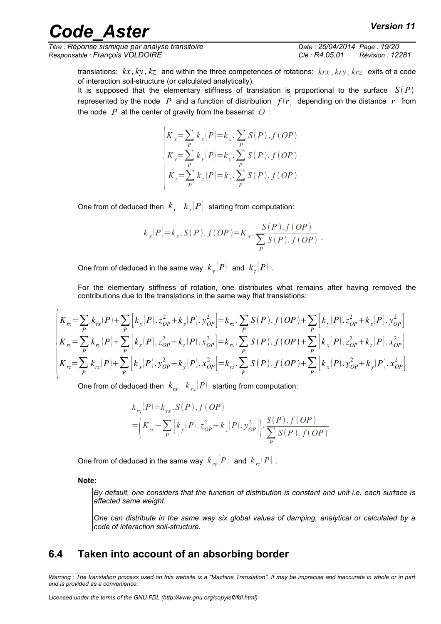*Titre : Réponse sismique par analyse transitoire Date : 25/04/2014 Page : 19/20 Responsable : François VOLDOIRE Clé : R4.05.01 Révision : 12281*

translations: *kx , ky , kz* and within the three competences of rotations: *krx , kry , krz* exits of a code of interaction soil-structure (or calculated analytically).

It is supposed that the elementary stiffness of translation is proportional to the surface  $S(P)$ represented by the node P and a function of distribution  $f(r)$  depending on the distance r from the node *P* at the center of gravity from the basemat *O* :

$$
\begin{cases}\nK_x = \sum_P k_x(P) = k_x \cdot \sum_P S(P) \cdot f(OP) \\
K_y = \sum_P k_y(P) = k_y \cdot \sum_P S(P) \cdot f(OP) \\
K_z = \sum_P k_z(P) = k_z \cdot \sum_P S(P) \cdot f(OP)\n\end{cases}
$$

One from of deduced then  $k_{x}$   $k_{x}(P)$  starting from computation:

$$
k_x(P)=k_x.S(P).f(OP)=K_x.\frac{S(P).f(OP)}{\sum_{P}S(P).f(OP)}.
$$

One from of deduced in the same way  $\; k_y(P) \;$  and  $\; k_z(P) \; .$ 

For the elementary stiffness of rotation, one distributes what remains after having removed the contributions due to the translations in the same way that translations:

$$
\begin{aligned}\n&\left| K_{rx} = \sum_{P} k_{rx}(P) + \sum_{P} \left[ k_{y}(P) \cdot z_{OP}^{2} + k_{z}(P) \cdot y_{OP}^{2} \right] = k_{rx} \cdot \sum_{P} S(P) \cdot f(OP) + \sum_{P} \left[ k_{y}(P) \cdot z_{OP}^{2} + k_{z}(P) \cdot y_{OP}^{2} \right] \right. \\
&\left. K_{ry} = \sum_{P} k_{ry}(P) + \sum_{P} \left[ k_{x}(P) \cdot z_{OP}^{2} + k_{z}(P) \cdot x_{OP}^{2} \right] = k_{ry} \cdot \sum_{P} S(P) \cdot f(OP) + \sum_{P} \left[ k_{x}(P) \cdot z_{OP}^{2} + k_{z}(P) \cdot x_{OP}^{2} \right] \right. \\
&\left. K_{rz} = \sum_{P} k_{rz}(P) + \sum_{P} \left[ k_{x}(P) \cdot y_{OP}^{2} + k_{y}(P) \cdot x_{OP}^{2} \right] = k_{rz} \cdot \sum_{P} S(P) \cdot f(OP) + \sum_{P} \left[ k_{x}(P) \cdot y_{OP}^{2} + k_{y}(P) \cdot x_{OP}^{2} \right]\n\end{aligned}
$$

One from of deduced then  $\left| k_{_{P\!X}} \right| \left| k_{_{P\!X}} \right| P \right| \,$  starting from computation:

$$
k_{rx}(P)=k_{rx}.S(P).f (OP)
$$
  
=  $\left(K_{rx}-\sum_{P} [k_{y}(P).z_{OP}^{2}+k_{z}(P).y_{OP}^{2}] \right)\cdot \sum_{P} \frac{S(P).f (OP)}{S(P).f (OP)}$ 

One from of deduced in the same way  $\;k_{_{\mathit{I}y}}(P)\;$  and  $\;k_{_{\mathit{I}z}}(P)\;$  .

**Note:**

*By default, one considers that the function of distribution is constant and unit i.e. each surface is affected same weight.*

*One can distribute in the same way six global values of damping, analytical or calculated by a code of interaction soil-structure.*

#### <span id="page-18-0"></span>**6.4 Taken into account of an absorbing border**